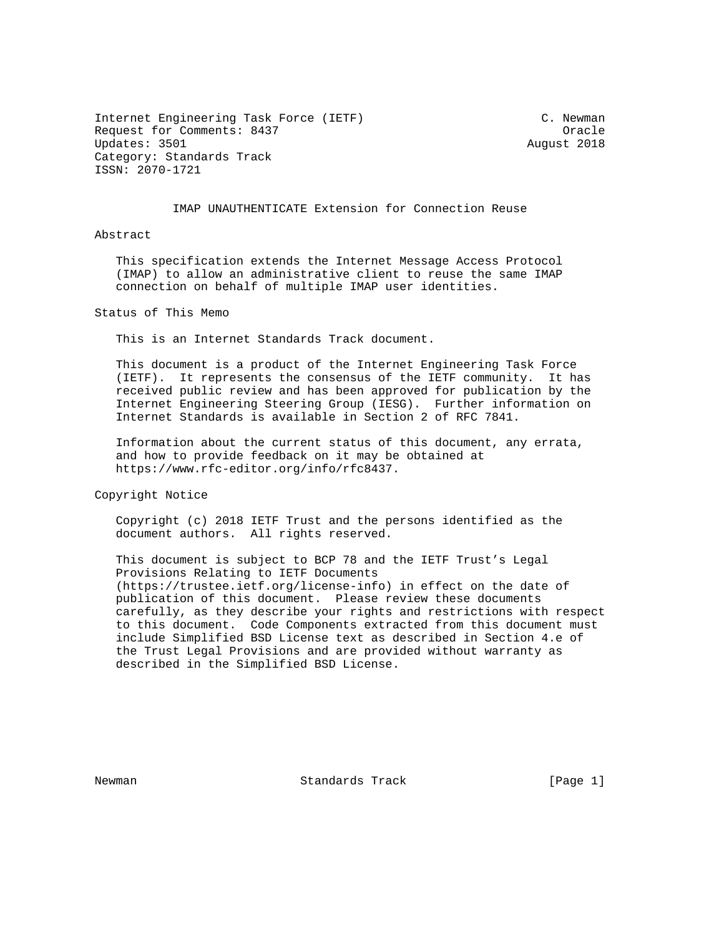Internet Engineering Task Force (IETF) C. Newman Request for Comments: 8437 Cracle Updates: 3501 August 2018 Category: Standards Track ISSN: 2070-1721

### IMAP UNAUTHENTICATE Extension for Connection Reuse

Abstract

 This specification extends the Internet Message Access Protocol (IMAP) to allow an administrative client to reuse the same IMAP connection on behalf of multiple IMAP user identities.

Status of This Memo

This is an Internet Standards Track document.

 This document is a product of the Internet Engineering Task Force (IETF). It represents the consensus of the IETF community. It has received public review and has been approved for publication by the Internet Engineering Steering Group (IESG). Further information on Internet Standards is available in Section 2 of RFC 7841.

 Information about the current status of this document, any errata, and how to provide feedback on it may be obtained at https://www.rfc-editor.org/info/rfc8437.

Copyright Notice

 Copyright (c) 2018 IETF Trust and the persons identified as the document authors. All rights reserved.

 This document is subject to BCP 78 and the IETF Trust's Legal Provisions Relating to IETF Documents (https://trustee.ietf.org/license-info) in effect on the date of publication of this document. Please review these documents carefully, as they describe your rights and restrictions with respect to this document. Code Components extracted from this document must include Simplified BSD License text as described in Section 4.e of the Trust Legal Provisions and are provided without warranty as described in the Simplified BSD License.

Newman **Standards Track** [Page 1]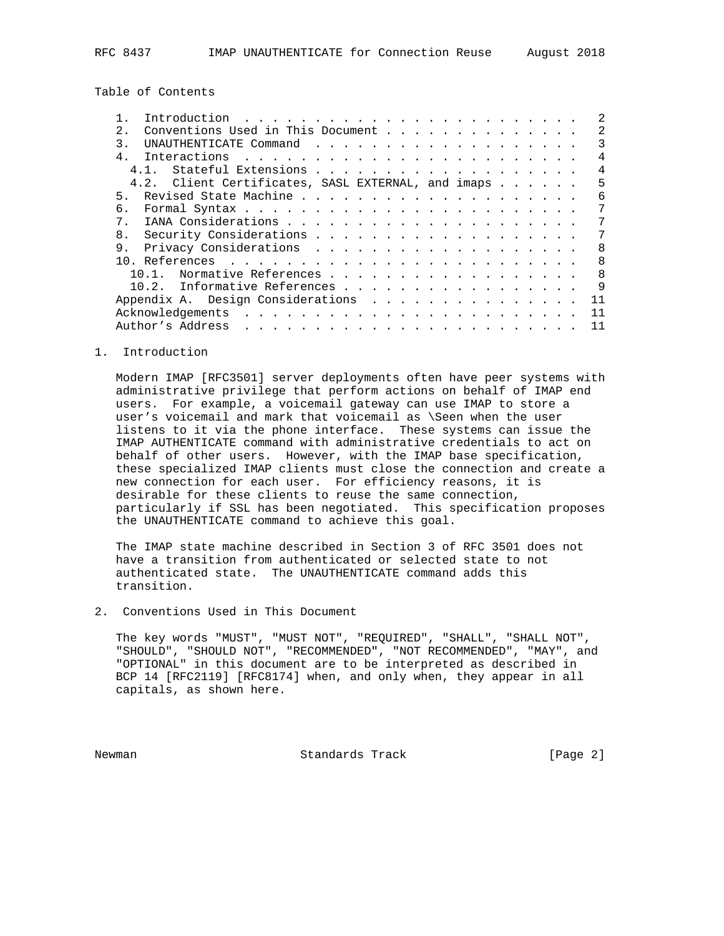Table of Contents

|                                                    |      |  | Introduction                      |  |  |  |  |  |  |  |  |  |  |  |  |  |  |   |  |              |
|----------------------------------------------------|------|--|-----------------------------------|--|--|--|--|--|--|--|--|--|--|--|--|--|--|---|--|--------------|
| 2.1                                                |      |  | Conventions Used in This Document |  |  |  |  |  |  |  |  |  |  |  |  |  |  |   |  | 2            |
| 3                                                  |      |  |                                   |  |  |  |  |  |  |  |  |  |  |  |  |  |  |   |  | 3            |
| $\overline{4}$                                     |      |  |                                   |  |  |  |  |  |  |  |  |  |  |  |  |  |  |   |  | 4            |
|                                                    | 4 1  |  | Stateful Extensions               |  |  |  |  |  |  |  |  |  |  |  |  |  |  |   |  | 4            |
| 4.2. Client Certificates, SASL EXTERNAL, and imaps |      |  |                                   |  |  |  |  |  |  |  |  |  |  |  |  |  |  | 5 |  |              |
| 5.                                                 |      |  |                                   |  |  |  |  |  |  |  |  |  |  |  |  |  |  |   |  | 6            |
| б.                                                 |      |  |                                   |  |  |  |  |  |  |  |  |  |  |  |  |  |  |   |  | 7            |
| 7                                                  |      |  |                                   |  |  |  |  |  |  |  |  |  |  |  |  |  |  |   |  |              |
| 8 <sub>1</sub>                                     |      |  |                                   |  |  |  |  |  |  |  |  |  |  |  |  |  |  |   |  | 7            |
| 9.                                                 |      |  |                                   |  |  |  |  |  |  |  |  |  |  |  |  |  |  |   |  | 8            |
|                                                    |      |  |                                   |  |  |  |  |  |  |  |  |  |  |  |  |  |  |   |  | $\mathsf{R}$ |
|                                                    | 10 1 |  | Normative References              |  |  |  |  |  |  |  |  |  |  |  |  |  |  |   |  | $\mathsf{R}$ |
|                                                    |      |  | 10.2. Informative References      |  |  |  |  |  |  |  |  |  |  |  |  |  |  |   |  | 9            |
|                                                    |      |  | Appendix A. Design Considerations |  |  |  |  |  |  |  |  |  |  |  |  |  |  |   |  | 11           |
|                                                    |      |  | Acknowledgements                  |  |  |  |  |  |  |  |  |  |  |  |  |  |  |   |  | 11           |
|                                                    |      |  | Author's Address                  |  |  |  |  |  |  |  |  |  |  |  |  |  |  |   |  | 11           |
|                                                    |      |  |                                   |  |  |  |  |  |  |  |  |  |  |  |  |  |  |   |  |              |

### 1. Introduction

 Modern IMAP [RFC3501] server deployments often have peer systems with administrative privilege that perform actions on behalf of IMAP end users. For example, a voicemail gateway can use IMAP to store a user's voicemail and mark that voicemail as \Seen when the user listens to it via the phone interface. These systems can issue the IMAP AUTHENTICATE command with administrative credentials to act on behalf of other users. However, with the IMAP base specification, these specialized IMAP clients must close the connection and create a new connection for each user. For efficiency reasons, it is desirable for these clients to reuse the same connection, particularly if SSL has been negotiated. This specification proposes the UNAUTHENTICATE command to achieve this goal.

 The IMAP state machine described in Section 3 of RFC 3501 does not have a transition from authenticated or selected state to not authenticated state. The UNAUTHENTICATE command adds this transition.

2. Conventions Used in This Document

 The key words "MUST", "MUST NOT", "REQUIRED", "SHALL", "SHALL NOT", "SHOULD", "SHOULD NOT", "RECOMMENDED", "NOT RECOMMENDED", "MAY", and "OPTIONAL" in this document are to be interpreted as described in BCP 14 [RFC2119] [RFC8174] when, and only when, they appear in all capitals, as shown here.

Newman **Standards Track** [Page 2]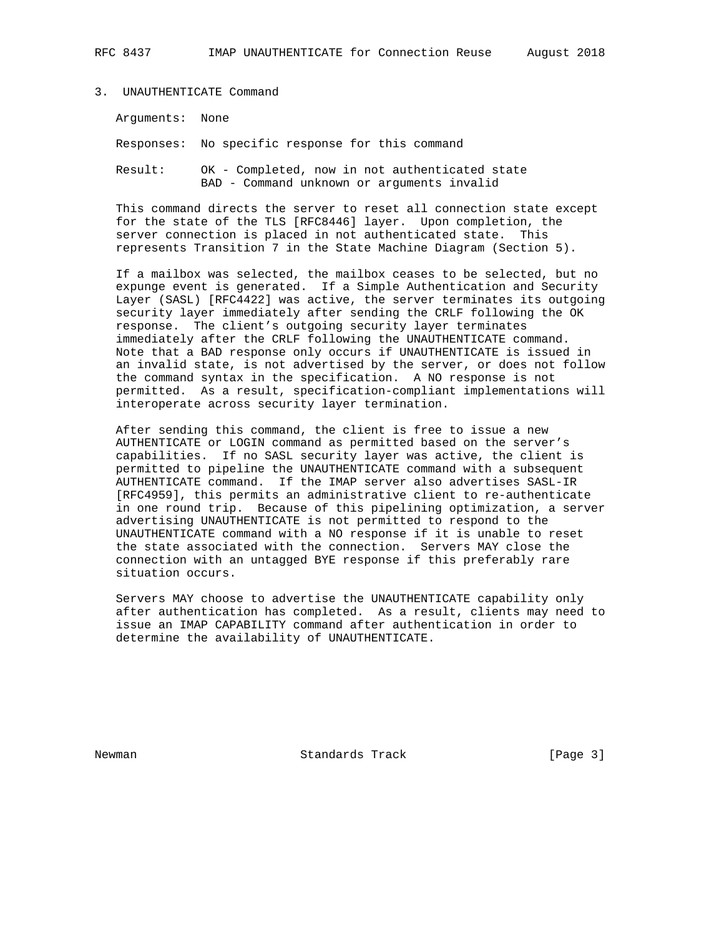Arguments: None

Responses: No specific response for this command

 Result: OK - Completed, now in not authenticated state BAD - Command unknown or arguments invalid

 This command directs the server to reset all connection state except for the state of the TLS [RFC8446] layer. Upon completion, the server connection is placed in not authenticated state. This represents Transition 7 in the State Machine Diagram (Section 5).

 If a mailbox was selected, the mailbox ceases to be selected, but no expunge event is generated. If a Simple Authentication and Security Layer (SASL) [RFC4422] was active, the server terminates its outgoing security layer immediately after sending the CRLF following the OK response. The client's outgoing security layer terminates immediately after the CRLF following the UNAUTHENTICATE command. Note that a BAD response only occurs if UNAUTHENTICATE is issued in an invalid state, is not advertised by the server, or does not follow the command syntax in the specification. A NO response is not permitted. As a result, specification-compliant implementations will interoperate across security layer termination.

 After sending this command, the client is free to issue a new AUTHENTICATE or LOGIN command as permitted based on the server's capabilities. If no SASL security layer was active, the client is permitted to pipeline the UNAUTHENTICATE command with a subsequent AUTHENTICATE command. If the IMAP server also advertises SASL-IR [RFC4959], this permits an administrative client to re-authenticate in one round trip. Because of this pipelining optimization, a server advertising UNAUTHENTICATE is not permitted to respond to the UNAUTHENTICATE command with a NO response if it is unable to reset the state associated with the connection. Servers MAY close the connection with an untagged BYE response if this preferably rare situation occurs.

 Servers MAY choose to advertise the UNAUTHENTICATE capability only after authentication has completed. As a result, clients may need to issue an IMAP CAPABILITY command after authentication in order to determine the availability of UNAUTHENTICATE.

Newman **Standards Track** [Page 3]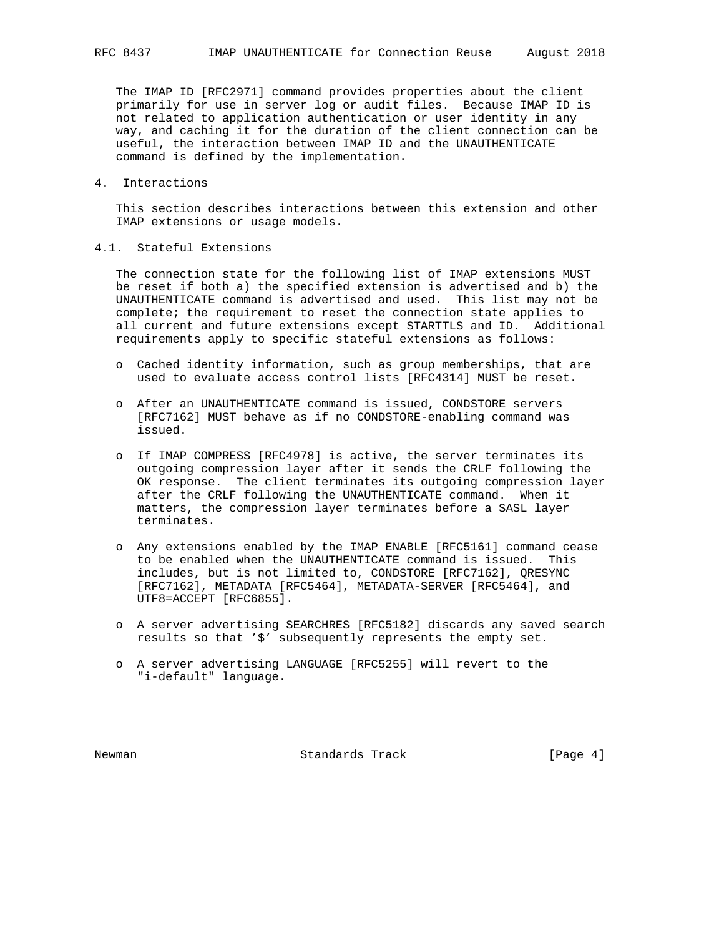The IMAP ID [RFC2971] command provides properties about the client primarily for use in server log or audit files. Because IMAP ID is not related to application authentication or user identity in any way, and caching it for the duration of the client connection can be useful, the interaction between IMAP ID and the UNAUTHENTICATE command is defined by the implementation.

4. Interactions

 This section describes interactions between this extension and other IMAP extensions or usage models.

4.1. Stateful Extensions

 The connection state for the following list of IMAP extensions MUST be reset if both a) the specified extension is advertised and b) the UNAUTHENTICATE command is advertised and used. This list may not be complete; the requirement to reset the connection state applies to all current and future extensions except STARTTLS and ID. Additional requirements apply to specific stateful extensions as follows:

- o Cached identity information, such as group memberships, that are used to evaluate access control lists [RFC4314] MUST be reset.
- o After an UNAUTHENTICATE command is issued, CONDSTORE servers [RFC7162] MUST behave as if no CONDSTORE-enabling command was issued.
- o If IMAP COMPRESS [RFC4978] is active, the server terminates its outgoing compression layer after it sends the CRLF following the OK response. The client terminates its outgoing compression layer after the CRLF following the UNAUTHENTICATE command. When it matters, the compression layer terminates before a SASL layer terminates.
- o Any extensions enabled by the IMAP ENABLE [RFC5161] command cease to be enabled when the UNAUTHENTICATE command is issued. This includes, but is not limited to, CONDSTORE [RFC7162], QRESYNC [RFC7162], METADATA [RFC5464], METADATA-SERVER [RFC5464], and UTF8=ACCEPT [RFC6855].
- o A server advertising SEARCHRES [RFC5182] discards any saved search results so that '\$' subsequently represents the empty set.
- o A server advertising LANGUAGE [RFC5255] will revert to the "i-default" language.

Newman **Standards Track Example 1** [Page 4]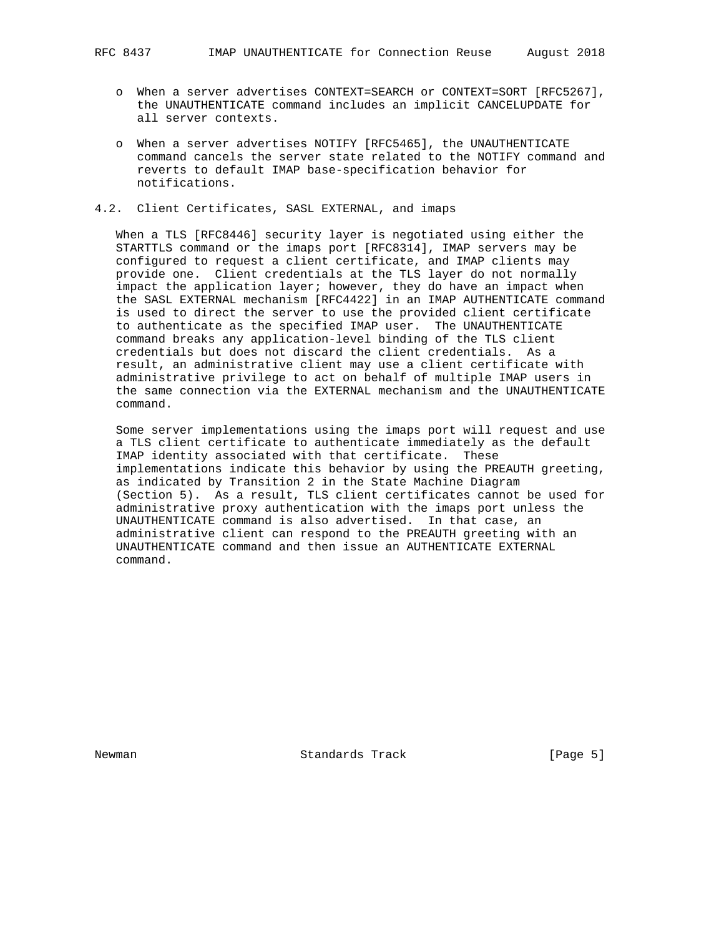- o When a server advertises CONTEXT=SEARCH or CONTEXT=SORT [RFC5267], the UNAUTHENTICATE command includes an implicit CANCELUPDATE for all server contexts.
- o When a server advertises NOTIFY [RFC5465], the UNAUTHENTICATE command cancels the server state related to the NOTIFY command and reverts to default IMAP base-specification behavior for notifications.
- 4.2. Client Certificates, SASL EXTERNAL, and imaps

 When a TLS [RFC8446] security layer is negotiated using either the STARTTLS command or the imaps port [RFC8314], IMAP servers may be configured to request a client certificate, and IMAP clients may provide one. Client credentials at the TLS layer do not normally impact the application layer; however, they do have an impact when the SASL EXTERNAL mechanism [RFC4422] in an IMAP AUTHENTICATE command is used to direct the server to use the provided client certificate to authenticate as the specified IMAP user. The UNAUTHENTICATE command breaks any application-level binding of the TLS client credentials but does not discard the client credentials. As a result, an administrative client may use a client certificate with administrative privilege to act on behalf of multiple IMAP users in the same connection via the EXTERNAL mechanism and the UNAUTHENTICATE command.

 Some server implementations using the imaps port will request and use a TLS client certificate to authenticate immediately as the default IMAP identity associated with that certificate. These implementations indicate this behavior by using the PREAUTH greeting, as indicated by Transition 2 in the State Machine Diagram (Section 5). As a result, TLS client certificates cannot be used for administrative proxy authentication with the imaps port unless the UNAUTHENTICATE command is also advertised. In that case, an administrative client can respond to the PREAUTH greeting with an UNAUTHENTICATE command and then issue an AUTHENTICATE EXTERNAL command.

Newman **Standards Track Example 1** [Page 5]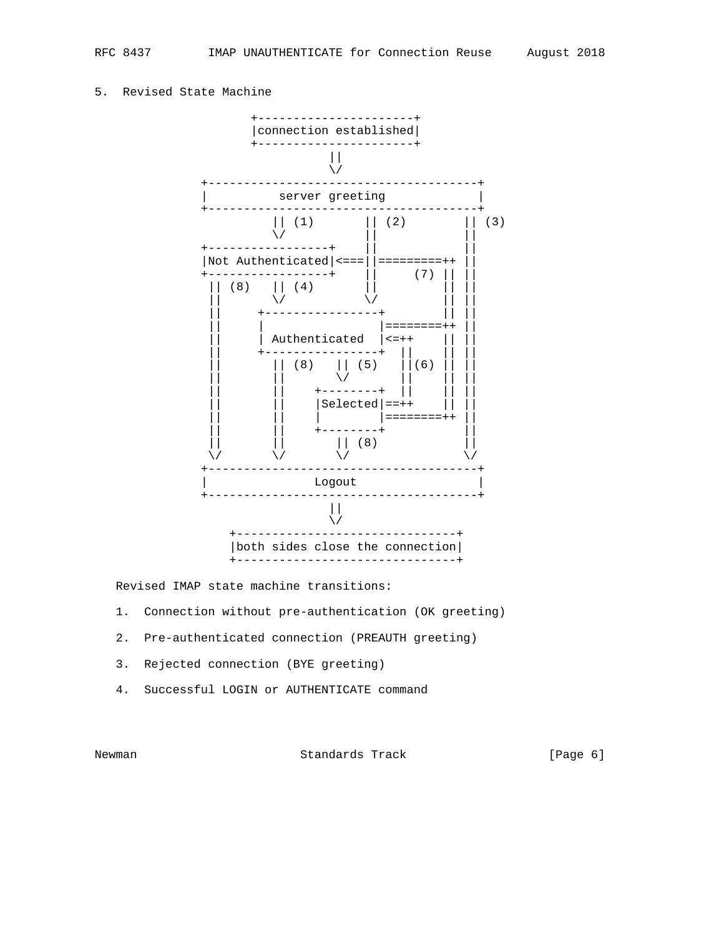## 5. Revised State Machine



Revised IMAP state machine transitions:

- 1. Connection without pre-authentication (OK greeting)
- 2. Pre-authenticated connection (PREAUTH greeting)
- 3. Rejected connection (BYE greeting)
- 4. Successful LOGIN or AUTHENTICATE command

Newman **Standards Track** [Page 6]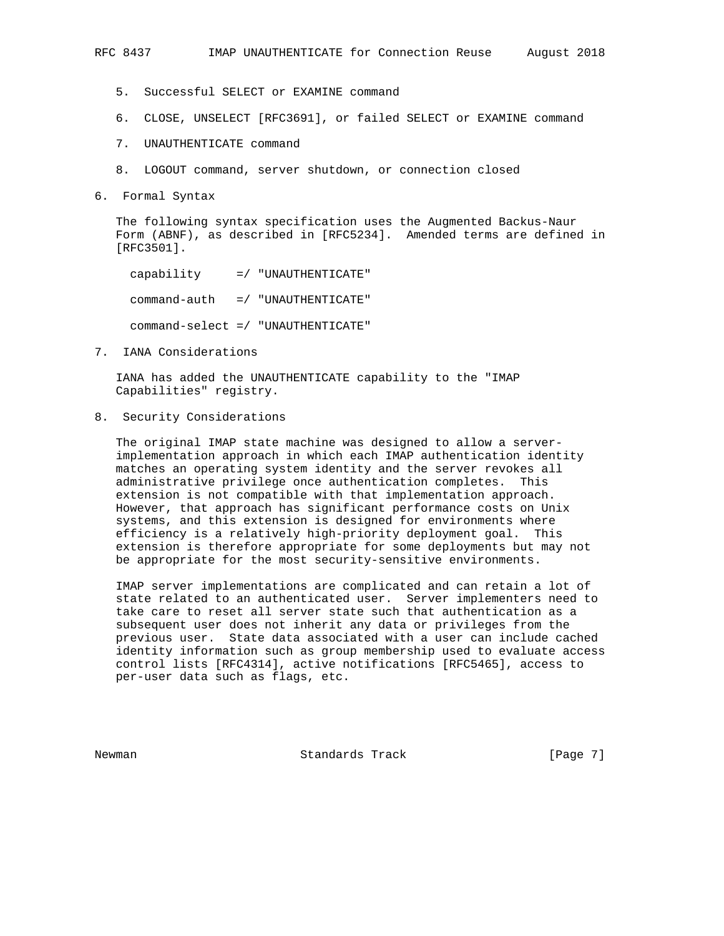- 5. Successful SELECT or EXAMINE command
- 6. CLOSE, UNSELECT [RFC3691], or failed SELECT or EXAMINE command
- 7. UNAUTHENTICATE command
- 8. LOGOUT command, server shutdown, or connection closed
- 6. Formal Syntax

 The following syntax specification uses the Augmented Backus-Naur Form (ABNF), as described in [RFC5234]. Amended terms are defined in [RFC3501].

 capability =/ "UNAUTHENTICATE" command-auth =/ "UNAUTHENTICATE" command-select =/ "UNAUTHENTICATE"

7. IANA Considerations

 IANA has added the UNAUTHENTICATE capability to the "IMAP Capabilities" registry.

8. Security Considerations

 The original IMAP state machine was designed to allow a server implementation approach in which each IMAP authentication identity matches an operating system identity and the server revokes all administrative privilege once authentication completes. This extension is not compatible with that implementation approach. However, that approach has significant performance costs on Unix systems, and this extension is designed for environments where efficiency is a relatively high-priority deployment goal. This extension is therefore appropriate for some deployments but may not be appropriate for the most security-sensitive environments.

 IMAP server implementations are complicated and can retain a lot of state related to an authenticated user. Server implementers need to take care to reset all server state such that authentication as a subsequent user does not inherit any data or privileges from the previous user. State data associated with a user can include cached identity information such as group membership used to evaluate access control lists [RFC4314], active notifications [RFC5465], access to per-user data such as flags, etc.

Newman **Standards Track** [Page 7]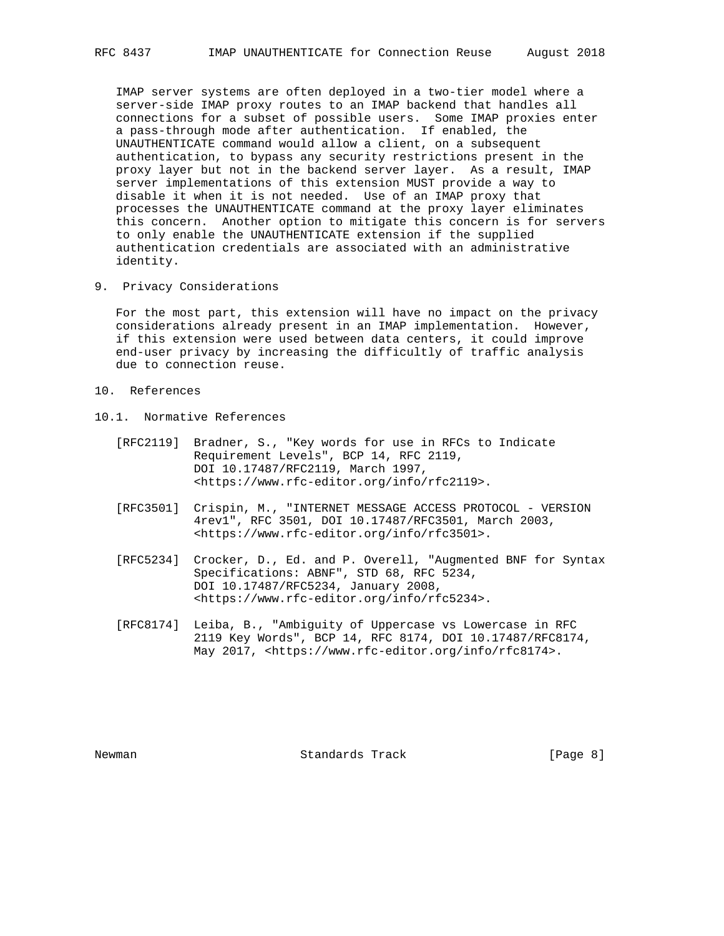IMAP server systems are often deployed in a two-tier model where a server-side IMAP proxy routes to an IMAP backend that handles all connections for a subset of possible users. Some IMAP proxies enter a pass-through mode after authentication. If enabled, the UNAUTHENTICATE command would allow a client, on a subsequent authentication, to bypass any security restrictions present in the proxy layer but not in the backend server layer. As a result, IMAP server implementations of this extension MUST provide a way to disable it when it is not needed. Use of an IMAP proxy that processes the UNAUTHENTICATE command at the proxy layer eliminates this concern. Another option to mitigate this concern is for servers to only enable the UNAUTHENTICATE extension if the supplied authentication credentials are associated with an administrative identity.

9. Privacy Considerations

 For the most part, this extension will have no impact on the privacy considerations already present in an IMAP implementation. However, if this extension were used between data centers, it could improve end-user privacy by increasing the difficultly of traffic analysis due to connection reuse.

- 10. References
- 10.1. Normative References
	- [RFC2119] Bradner, S., "Key words for use in RFCs to Indicate Requirement Levels", BCP 14, RFC 2119, DOI 10.17487/RFC2119, March 1997, <https://www.rfc-editor.org/info/rfc2119>.
	- [RFC3501] Crispin, M., "INTERNET MESSAGE ACCESS PROTOCOL VERSION 4rev1", RFC 3501, DOI 10.17487/RFC3501, March 2003, <https://www.rfc-editor.org/info/rfc3501>.
- [RFC5234] Crocker, D., Ed. and P. Overell, "Augmented BNF for Syntax Specifications: ABNF", STD 68, RFC 5234, DOI 10.17487/RFC5234, January 2008, <https://www.rfc-editor.org/info/rfc5234>.
	- [RFC8174] Leiba, B., "Ambiguity of Uppercase vs Lowercase in RFC 2119 Key Words", BCP 14, RFC 8174, DOI 10.17487/RFC8174, May 2017, <https://www.rfc-editor.org/info/rfc8174>.

Newman **Standards Track Example 1** [Page 8]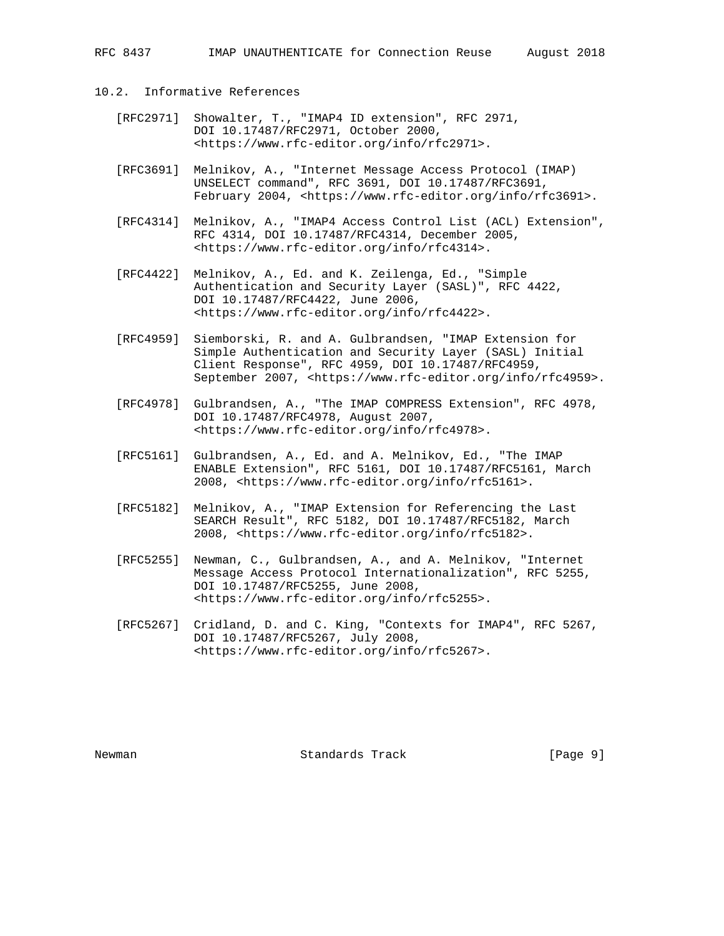- 10.2. Informative References
	- [RFC2971] Showalter, T., "IMAP4 ID extension", RFC 2971, DOI 10.17487/RFC2971, October 2000, <https://www.rfc-editor.org/info/rfc2971>.
	- [RFC3691] Melnikov, A., "Internet Message Access Protocol (IMAP) UNSELECT command", RFC 3691, DOI 10.17487/RFC3691, February 2004, <https://www.rfc-editor.org/info/rfc3691>.
	- [RFC4314] Melnikov, A., "IMAP4 Access Control List (ACL) Extension", RFC 4314, DOI 10.17487/RFC4314, December 2005, <https://www.rfc-editor.org/info/rfc4314>.
	- [RFC4422] Melnikov, A., Ed. and K. Zeilenga, Ed., "Simple Authentication and Security Layer (SASL)", RFC 4422, DOI 10.17487/RFC4422, June 2006, <https://www.rfc-editor.org/info/rfc4422>.
	- [RFC4959] Siemborski, R. and A. Gulbrandsen, "IMAP Extension for Simple Authentication and Security Layer (SASL) Initial Client Response", RFC 4959, DOI 10.17487/RFC4959, September 2007, <https://www.rfc-editor.org/info/rfc4959>.
	- [RFC4978] Gulbrandsen, A., "The IMAP COMPRESS Extension", RFC 4978, DOI 10.17487/RFC4978, August 2007, <https://www.rfc-editor.org/info/rfc4978>.
	- [RFC5161] Gulbrandsen, A., Ed. and A. Melnikov, Ed., "The IMAP ENABLE Extension", RFC 5161, DOI 10.17487/RFC5161, March 2008, <https://www.rfc-editor.org/info/rfc5161>.
	- [RFC5182] Melnikov, A., "IMAP Extension for Referencing the Last SEARCH Result", RFC 5182, DOI 10.17487/RFC5182, March 2008, <https://www.rfc-editor.org/info/rfc5182>.
	- [RFC5255] Newman, C., Gulbrandsen, A., and A. Melnikov, "Internet Message Access Protocol Internationalization", RFC 5255, DOI 10.17487/RFC5255, June 2008, <https://www.rfc-editor.org/info/rfc5255>.
	- [RFC5267] Cridland, D. and C. King, "Contexts for IMAP4", RFC 5267, DOI 10.17487/RFC5267, July 2008, <https://www.rfc-editor.org/info/rfc5267>.

Newman **Standards Track Example 1** [Page 9]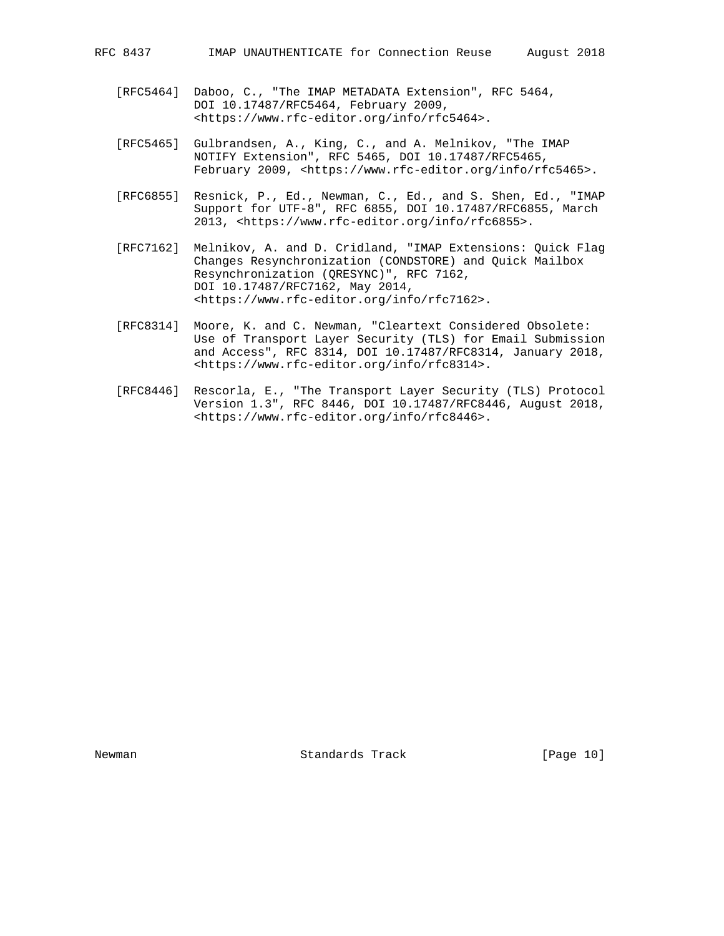- [RFC5464] Daboo, C., "The IMAP METADATA Extension", RFC 5464, DOI 10.17487/RFC5464, February 2009, <https://www.rfc-editor.org/info/rfc5464>.
- [RFC5465] Gulbrandsen, A., King, C., and A. Melnikov, "The IMAP NOTIFY Extension", RFC 5465, DOI 10.17487/RFC5465, February 2009, <https://www.rfc-editor.org/info/rfc5465>.
- [RFC6855] Resnick, P., Ed., Newman, C., Ed., and S. Shen, Ed., "IMAP Support for UTF-8", RFC 6855, DOI 10.17487/RFC6855, March 2013, <https://www.rfc-editor.org/info/rfc6855>.
- [RFC7162] Melnikov, A. and D. Cridland, "IMAP Extensions: Quick Flag Changes Resynchronization (CONDSTORE) and Quick Mailbox Resynchronization (QRESYNC)", RFC 7162, DOI 10.17487/RFC7162, May 2014, <https://www.rfc-editor.org/info/rfc7162>.
- [RFC8314] Moore, K. and C. Newman, "Cleartext Considered Obsolete: Use of Transport Layer Security (TLS) for Email Submission and Access", RFC 8314, DOI 10.17487/RFC8314, January 2018, <https://www.rfc-editor.org/info/rfc8314>.
- [RFC8446] Rescorla, E., "The Transport Layer Security (TLS) Protocol Version 1.3", RFC 8446, DOI 10.17487/RFC8446, August 2018, <https://www.rfc-editor.org/info/rfc8446>.

Newman Standards Track [Page 10]